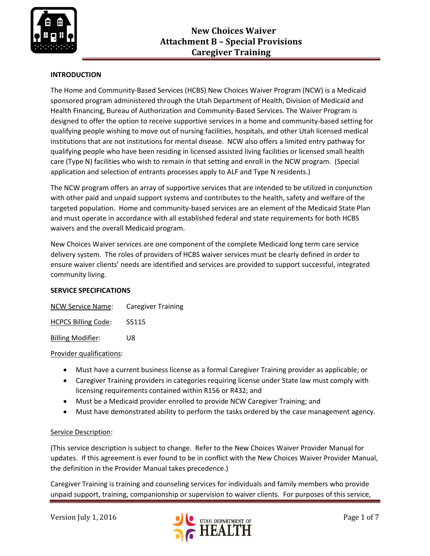

## **INTRODUCTION**

The Home and Community-Based Services (HCBS) New Choices Waiver Program (NCW) is a Medicaid sponsored program administered through the Utah Department of Health, Division of Medicaid and Health Financing, Bureau of Authorization and Community-Based Services. The Waiver Program is designed to offer the option to receive supportive services in a home and community-based setting for qualifying people wishing to move out of nursing facilities, hospitals, and other Utah licensed medical institutions that are not institutions for mental disease. NCW also offers a limited entry pathway for qualifying people who have been residing in licensed assisted living facilities or licensed small health care (Type N) facilities who wish to remain in that setting and enroll in the NCW program. (Special application and selection of entrants processes apply to ALF and Type N residents.)

The NCW program offers an array of supportive services that are intended to be utilized in conjunction with other paid and unpaid support systems and contributes to the health, safety and welfare of the targeted population. Home and community-based services are an element of the Medicaid State Plan and must operate in accordance with all established federal and state requirements for both HCBS waivers and the overall Medicaid program.

New Choices Waiver services are one component of the complete Medicaid long term care service delivery system. The roles of providers of HCBS waiver services must be clearly defined in order to ensure waiver clients' needs are identified and services are provided to support successful, integrated community living.

#### **SERVICE SPECIFICATIONS**

| <b>NCW Service Name:</b>   | <b>Caregiver Training</b> |
|----------------------------|---------------------------|
| <b>HCPCS Billing Code:</b> | S5115                     |
| <b>Billing Modifier:</b>   | Пg                        |

#### Provider qualifications:

- Must have a current business license as a formal Caregiver Training provider as applicable; or
- Caregiver Training providers in categories requiring license under State law must comply with licensing requirements contained within R156 or R432; and
- Must be a Medicaid provider enrolled to provide NCW Caregiver Training; and
- Must have demonstrated ability to perform the tasks ordered by the case management agency.

## Service Description:

(This service description is subject to change. Refer to the New Choices Waiver Provider Manual for updates. If this agreement is ever found to be in conflict with the New Choices Waiver Provider Manual, the definition in the Provider Manual takes precedence.)

Caregiver Training is training and counseling services for individuals and family members who provide unpaid support, training, companionship or supervision to waiver clients. For purposes of this service,

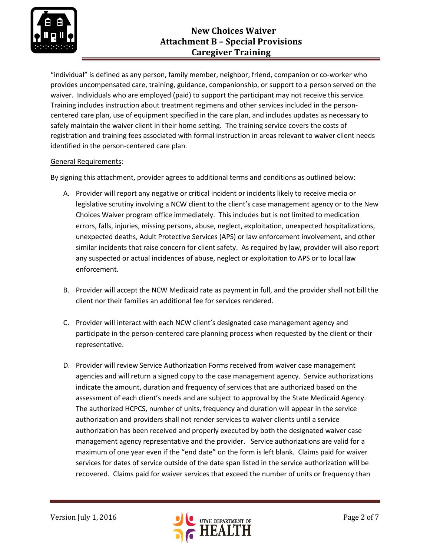

# **New Choices Waiver Attachment B – Special Provisions Caregiver Training**

"individual" is defined as any person, family member, neighbor, friend, companion or co-worker who provides uncompensated care, training, guidance, companionship, or support to a person served on the waiver. Individuals who are employed (paid) to support the participant may not receive this service. Training includes instruction about treatment regimens and other services included in the personcentered care plan, use of equipment specified in the care plan, and includes updates as necessary to safely maintain the waiver client in their home setting. The training service covers the costs of registration and training fees associated with formal instruction in areas relevant to waiver client needs identified in the person-centered care plan.

## General Requirements:

By signing this attachment, provider agrees to additional terms and conditions as outlined below:

- A. Provider will report any negative or critical incident or incidents likely to receive media or legislative scrutiny involving a NCW client to the client's case management agency or to the New Choices Waiver program office immediately. This includes but is not limited to medication errors, falls, injuries, missing persons, abuse, neglect, exploitation, unexpected hospitalizations, unexpected deaths, Adult Protective Services (APS) or law enforcement involvement, and other similar incidents that raise concern for client safety. As required by law, provider will also report any suspected or actual incidences of abuse, neglect or exploitation to APS or to local law enforcement.
- B. Provider will accept the NCW Medicaid rate as payment in full, and the provider shall not bill the client nor their families an additional fee for services rendered.
- C. Provider will interact with each NCW client's designated case management agency and participate in the person-centered care planning process when requested by the client or their representative.
- D. Provider will review Service Authorization Forms received from waiver case management agencies and will return a signed copy to the case management agency. Service authorizations indicate the amount, duration and frequency of services that are authorized based on the assessment of each client's needs and are subject to approval by the State Medicaid Agency. The authorized HCPCS, number of units, frequency and duration will appear in the service authorization and providers shall not render services to waiver clients until a service authorization has been received and properly executed by both the designated waiver case management agency representative and the provider. Service authorizations are valid for a maximum of one year even if the "end date" on the form is left blank. Claims paid for waiver services for dates of service outside of the date span listed in the service authorization will be recovered. Claims paid for waiver services that exceed the number of units or frequency than

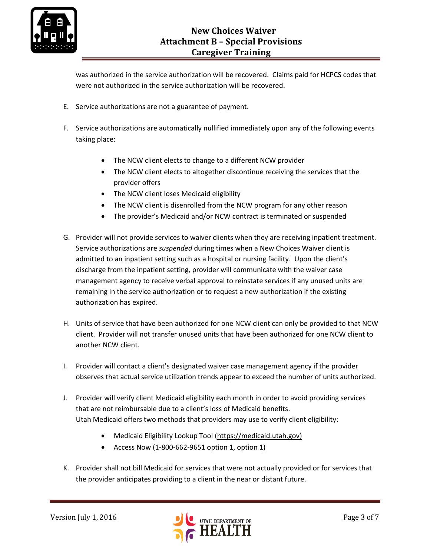

was authorized in the service authorization will be recovered. Claims paid for HCPCS codes that were not authorized in the service authorization will be recovered.

- E. Service authorizations are not a guarantee of payment.
- F. Service authorizations are automatically nullified immediately upon any of the following events taking place:
	- The NCW client elects to change to a different NCW provider
	- The NCW client elects to altogether discontinue receiving the services that the provider offers
	- The NCW client loses Medicaid eligibility
	- The NCW client is disenrolled from the NCW program for any other reason
	- The provider's Medicaid and/or NCW contract is terminated or suspended
- G. Provider will not provide services to waiver clients when they are receiving inpatient treatment. Service authorizations are *suspended* during times when a New Choices Waiver client is admitted to an inpatient setting such as a hospital or nursing facility. Upon the client's discharge from the inpatient setting, provider will communicate with the waiver case management agency to receive verbal approval to reinstate services if any unused units are remaining in the service authorization or to request a new authorization if the existing authorization has expired.
- H. Units of service that have been authorized for one NCW client can only be provided to that NCW client. Provider will not transfer unused units that have been authorized for one NCW client to another NCW client.
- I. Provider will contact a client's designated waiver case management agency if the provider observes that actual service utilization trends appear to exceed the number of units authorized.
- J. Provider will verify client Medicaid eligibility each month in order to avoid providing services that are not reimbursable due to a client's loss of Medicaid benefits. Utah Medicaid offers two methods that providers may use to verify client eligibility:
	- Medicaid Eligibility Lookup Tool [\(https://medicaid.utah.gov\)](https://medicaid.utah.gov/)
	- Access Now (1-800-662-9651 option 1, option 1)
- K. Provider shall not bill Medicaid for services that were not actually provided or for services that the provider anticipates providing to a client in the near or distant future.

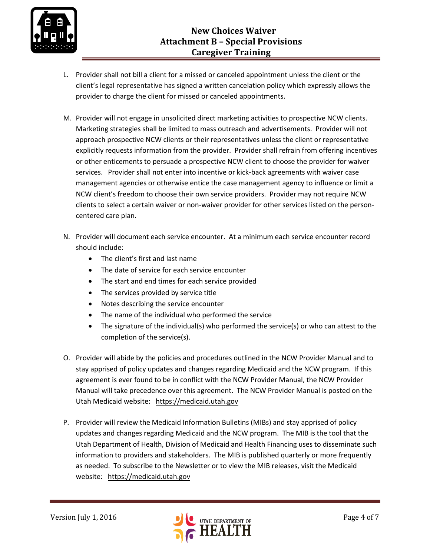

- L. Provider shall not bill a client for a missed or canceled appointment unless the client or the client's legal representative has signed a written cancelation policy which expressly allows the provider to charge the client for missed or canceled appointments.
- M. Provider will not engage in unsolicited direct marketing activities to prospective NCW clients. Marketing strategies shall be limited to mass outreach and advertisements. Provider will not approach prospective NCW clients or their representatives unless the client or representative explicitly requests information from the provider. Provider shall refrain from offering incentives or other enticements to persuade a prospective NCW client to choose the provider for waiver services. Provider shall not enter into incentive or kick-back agreements with waiver case management agencies or otherwise entice the case management agency to influence or limit a NCW client's freedom to choose their own service providers. Provider may not require NCW clients to select a certain waiver or non-waiver provider for other services listed on the personcentered care plan.
- N. Provider will document each service encounter. At a minimum each service encounter record should include:
	- The client's first and last name
	- The date of service for each service encounter
	- The start and end times for each service provided
	- The services provided by service title
	- Notes describing the service encounter
	- The name of the individual who performed the service
	- The signature of the individual(s) who performed the service(s) or who can attest to the completion of the service(s).
- O. Provider will abide by the policies and procedures outlined in the NCW Provider Manual and to stay apprised of policy updates and changes regarding Medicaid and the NCW program. If this agreement is ever found to be in conflict with the NCW Provider Manual, the NCW Provider Manual will take precedence over this agreement. The NCW Provider Manual is posted on the Utah Medicaid website: [https://medicaid.utah.gov](https://medicaid.utah.gov/)
- P. Provider will review the Medicaid Information Bulletins (MIBs) and stay apprised of policy updates and changes regarding Medicaid and the NCW program. The MIB is the tool that the Utah Department of Health, Division of Medicaid and Health Financing uses to disseminate such information to providers and stakeholders. The MIB is published quarterly or more frequently as needed. To subscribe to the Newsletter or to view the MIB releases, visit the Medicaid website: [https://medicaid.utah.gov](https://medicaid.utah.gov/)

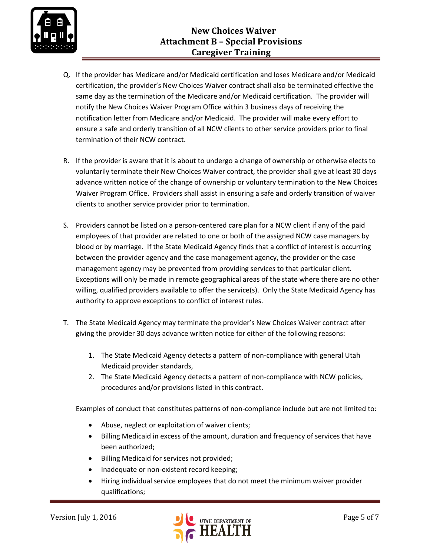- Q. If the provider has Medicare and/or Medicaid certification and loses Medicare and/or Medicaid certification, the provider's New Choices Waiver contract shall also be terminated effective the same day as the termination of the Medicare and/or Medicaid certification. The provider will notify the New Choices Waiver Program Office within 3 business days of receiving the notification letter from Medicare and/or Medicaid. The provider will make every effort to ensure a safe and orderly transition of all NCW clients to other service providers prior to final termination of their NCW contract.
- R. If the provider is aware that it is about to undergo a change of ownership or otherwise elects to voluntarily terminate their New Choices Waiver contract, the provider shall give at least 30 days advance written notice of the change of ownership or voluntary termination to the New Choices Waiver Program Office. Providers shall assist in ensuring a safe and orderly transition of waiver clients to another service provider prior to termination.
- S. Providers cannot be listed on a person-centered care plan for a NCW client if any of the paid employees of that provider are related to one or both of the assigned NCW case managers by blood or by marriage. If the State Medicaid Agency finds that a conflict of interest is occurring between the provider agency and the case management agency, the provider or the case management agency may be prevented from providing services to that particular client. Exceptions will only be made in remote geographical areas of the state where there are no other willing, qualified providers available to offer the service(s). Only the State Medicaid Agency has authority to approve exceptions to conflict of interest rules.
- T. The State Medicaid Agency may terminate the provider's New Choices Waiver contract after giving the provider 30 days advance written notice for either of the following reasons:
	- 1. The State Medicaid Agency detects a pattern of non-compliance with general Utah Medicaid provider standards,
	- 2. The State Medicaid Agency detects a pattern of non-compliance with NCW policies, procedures and/or provisions listed in this contract.

Examples of conduct that constitutes patterns of non-compliance include but are not limited to:

- Abuse, neglect or exploitation of waiver clients;
- Billing Medicaid in excess of the amount, duration and frequency of services that have been authorized;
- Billing Medicaid for services not provided;
- Inadequate or non-existent record keeping;
- Hiring individual service employees that do not meet the minimum waiver provider qualifications;

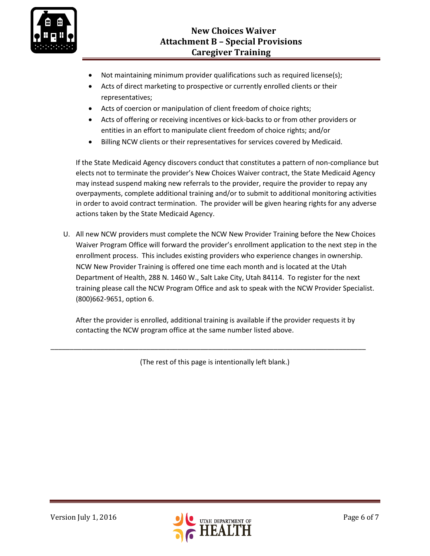

- Not maintaining minimum provider qualifications such as required license(s);
- Acts of direct marketing to prospective or currently enrolled clients or their representatives;
- Acts of coercion or manipulation of client freedom of choice rights;
- Acts of offering or receiving incentives or kick-backs to or from other providers or entities in an effort to manipulate client freedom of choice rights; and/or
- Billing NCW clients or their representatives for services covered by Medicaid.

If the State Medicaid Agency discovers conduct that constitutes a pattern of non-compliance but elects not to terminate the provider's New Choices Waiver contract, the State Medicaid Agency may instead suspend making new referrals to the provider, require the provider to repay any overpayments, complete additional training and/or to submit to additional monitoring activities in order to avoid contract termination. The provider will be given hearing rights for any adverse actions taken by the State Medicaid Agency.

U. All new NCW providers must complete the NCW New Provider Training before the New Choices Waiver Program Office will forward the provider's enrollment application to the next step in the enrollment process. This includes existing providers who experience changes in ownership. NCW New Provider Training is offered one time each month and is located at the Utah Department of Health, 288 N. 1460 W., Salt Lake City, Utah 84114. To register for the next training please call the NCW Program Office and ask to speak with the NCW Provider Specialist. (800)662-9651, option 6.

After the provider is enrolled, additional training is available if the provider requests it by contacting the NCW program office at the same number listed above.

(The rest of this page is intentionally left blank.)

\_\_\_\_\_\_\_\_\_\_\_\_\_\_\_\_\_\_\_\_\_\_\_\_\_\_\_\_\_\_\_\_\_\_\_\_\_\_\_\_\_\_\_\_\_\_\_\_\_\_\_\_\_\_\_\_\_\_\_\_\_\_\_\_\_\_\_\_\_\_\_\_\_\_\_\_\_\_\_\_\_\_